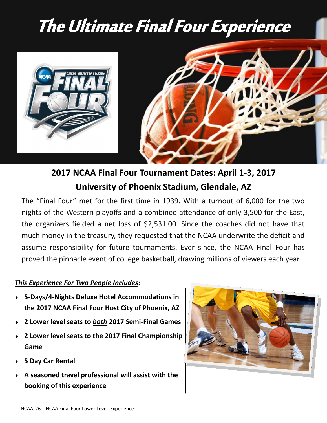## The Ultimate Final Four Experience



**2017 NCAA Final Four Tournament Dates: April 1-3, 2017 University of Phoenix Stadium, Glendale, AZ**

The "Final Four" met for the first time in 1939. With a turnout of 6,000 for the two nights of the Western playoffs and a combined attendance of only 3,500 for the East, the organizers fielded a net loss of \$2,531.00. Since the coaches did not have that much money in the treasury, they requested that the NCAA underwrite the deficit and assume responsibility for future tournaments. Ever since, the NCAA Final Four has proved the pinnacle event of college basketball, drawing millions of viewers each year.

## *This Experience For Two People Includes:*

- **5-Days/4-Nights Deluxe Hotel Accommodations in the 2017 NCAA Final Four Host City of Phoenix, AZ**
- **2 Lower level seats to** *both* **2017 Semi-Final Games**
- **2 Lower level seats to the 2017 Final Championship Game**
- **5 Day Car Rental**
- **A seasoned travel professional will assist with the booking of this experience**